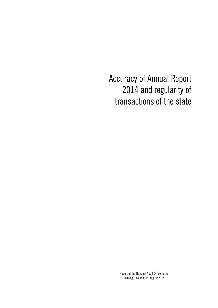Accuracy of Annual Report 2014 and regularity of transactions of the state

> Report of the National Audit Office to the Riigikogu, Tallinn, 19 August 2015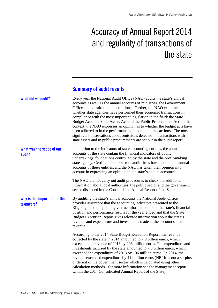# Accuracy of Annual Report 2014 and regularity of transactions of the state

### **Summary of audit results**

| What did we audit?                          | Every year the National Audit Office (NAO) audits the state's annual<br>accounts as well as the annual accounts of ministries, the Government<br>Office and constitutional institutions. Further, the NAO examines<br>whether state agencies have performed their economic transactions in<br>compliance with the most important legislation in the field: the State<br>Budget Acts, the State Assets Act and the Public Procurement Act. In that<br>context, the NAO expresses an opinion as to whether the budget acts have<br>been adhered to in the performance of economic transactions. The most<br>significant observations about omissions detected in transactions with<br>state assets and in public procurements are set out in the audit report. |
|---------------------------------------------|--------------------------------------------------------------------------------------------------------------------------------------------------------------------------------------------------------------------------------------------------------------------------------------------------------------------------------------------------------------------------------------------------------------------------------------------------------------------------------------------------------------------------------------------------------------------------------------------------------------------------------------------------------------------------------------------------------------------------------------------------------------|
| What was the scope of our<br>audit?         | In addition to the indicators of state accounting entities, the annual<br>accounts of the state contain the financial indicators of public<br>undertakings, foundations controlled by the state and the profit-making<br>state agency. Certified auditors from audit firms have audited the annual<br>accounts of these entities, and the NAO has taken their opinion into<br>account in expressing an opinion on the state's annual accounts.                                                                                                                                                                                                                                                                                                               |
|                                             | The NAO did not carry out audit procedures to check the additional<br>information about local authorities, the public sector and the government<br>sector disclosed in the Consolidated Annual Report of the State.                                                                                                                                                                                                                                                                                                                                                                                                                                                                                                                                          |
| Why is this important for the<br>taxpayers? | By auditing the state's annual accounts the National Audit Office<br>provides assurance that the accounting indicators presented to the<br>Riigikogu and the public give true information about the state's financial<br>position and performance results for the year ended and that the State<br>Budget Execution Report gives relevant information about the state's<br>revenue and expenditure and investments made at the account of this<br>revenue.                                                                                                                                                                                                                                                                                                   |
|                                             | According to the 2014 State Budget Execution Report, the revenue<br>collected by the state in 2014 amounted to 7.9 billion euros, which<br>exceeded the revenue of 2013 by 206 million euros. The expenditure and<br>investments incurred by the state amounted to 7.8 billion euros, which<br>exceeded the expenditure of 2013 by 196 million euros. In 2014, the<br>revenue exceeded expenditure by 41 million euros (NB! It is not a surplus<br>or deficit of the government sector which is calculated using other<br>calculation methods - for more information see the management report<br>within the 2014 Consolidated Annual Report of the State).                                                                                                  |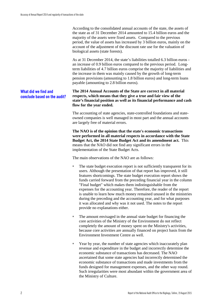According to the consolidated annual accounts of the state, the assets of the state as of 31 December 2014 amounted to 15.4 billion euros and the majority of the assets were fixed assets. Compared to the previous period, the value of assets has increased by 3 billion euros, mainly on the account of the adjustment of the discount rate use for the valuation of biological assets (state forests).

As at 31 December 2014, the state's liabilities totalled 6.3 billion euros an increase of 0.9 billion euros compared to the previous period. Longterm liabilities of 4.7 billion euros comprise the majority of liabilities and the increase in them was mainly caused by the growth of long-term pension provisions (amounting to 1.8 billion euros) and long-term loans payable (amounting to 2.8 billion euros).

#### **What did we find and conclude based on the audit?**

**The 2014 Annual Accounts of the State are correct in all material respects, which means that they give a true and fair view of the state's financial position as well as its financial performance and cash flow for the year ended.**

The accounting of state agencies, state-controlled foundations and stateowned companies is well managed in most part and the annual accounts are largely free of material errors.

**The NAO is of the opinion that the state's economic transactions were performed in all material respects in accordance with the State Budget Act, the 2014 State Budget Act and its amendment act.** This means that the NAO did not find any significant errors in the implementation of the State Budget Acts.

The main observations of the NAO are as follows:

- The state budget execution report is not sufficiently transparent for its users. Although the presentation of that report has improved, it still features shortcomings. The state budget execution report shows the funds carried forward from the preceding financial year in the column "Final budget" which makes them indistinguishable from the expenses for the accounting year. Therefore, the reader of the report is unable to learn how much money remained unused in the ministries during the preceding and the accounting year, and for what purposes it was allocated and why was it not used. The notes to the report provide no explanations either.
- The amount envisaged in the annual state budget for financing the core activities of the Ministry of the Environment do not reflect completely the amount of money spent on the Ministry's activities, because core activities are annually financed on project basis from the Environment Investment Centre as well.
- Year by year, the number of state agencies which inaccurately plan revenue and expenditure in the budget and incorrectly determine the economic substance of transactions has decreased. The NAO ascertained that some state agencies had incorrectly determined the economic substance of transactions and made investments from the funds designed for management expenses, and the other way round. Such irregularities were most abundant within the government area of the Ministry of Culture.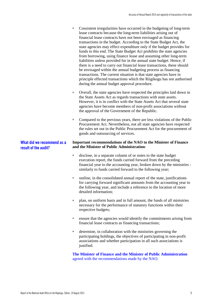- Consistent irregularities have occurred in the budgeting of long-term lease contracts because the long-term liabilities arising out of financial lease contracts have not been envisaged as financing transactions in the budget. According to the State Budget Act, the state agencies may effect expenditure only if the budget provides for funds to this end. The State Budget Act prohibits the state agencies from borrowing, using finance lease and assuming other long-term liabilities unless provided for in the annual state budget. Hence, if there is a need to carry out financial lease transactions, these should be envisaged within the annual budgeting process as financing transactions. The current situation is that state agencies have in principle effected transactions which the Riigikogu has not authorised during the annual budget approval procedure.
- Overall, the state agencies have respected the principles laid down in the State Assets Act as regards transactions with state assets. However, it is in conflict with the State Assets Act that several state agencies have become members of non-profit associations without the approval of the Government of the Republic.
- Compared to the previous years, there are less violations of the Public Procurement Act. Nevertheless, not all state agencies have respected the rules set out in the Public Procurement Act for the procurement of goods and outsourcing of services.

#### **Important recommendations of the NAO to the Minister of Finance and the Minister of Public Administration**:

- disclose, in a separate column of or notes to the state budget execution report, the funds carried forward from the preceding financial year to the accounting year, broken down by the ministries similarly to funds carried forward to the following year;
- outline, in the consolidated annual report of the state, justifications for carrying forward significant amounts from the accounting year to the following year, and include a reference to the location of more detailed information;
- plan, on uniform basis and in full amount, the funds of all ministries necessary for the performance of statutory functions within their respective budgets;
- ensure that the agencies would identify the commitments arising from financial lease contracts as financing transactions;
- determine, in collaboration with the ministries governing the participating holdings, the objectives of participating in non-profit associations and whether participation in all such associations is justified.

**The Minister of Finance and the Minister of Public Administration** agreed with the recommendations made by the NAO.

**What did we recommend as a** 

**result of the audit?**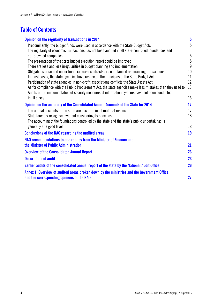## **Table of Contents**

| Opinion on the regularity of transactions in 2014                                                                                                                                                              | $\overline{\mathbf{5}}$ |
|----------------------------------------------------------------------------------------------------------------------------------------------------------------------------------------------------------------|-------------------------|
| Predominantly, the budget funds were used in accordance with the State Budget Acts                                                                                                                             | 5                       |
| The regularity of economic transactions has not been audited in all state-controlled foundations and                                                                                                           |                         |
| state-owned companies                                                                                                                                                                                          | $\overline{5}$          |
| The presentation of the state budget execution report could be improved                                                                                                                                        | $\overline{5}$          |
| There are less and less irregularities in budget planning and implementation                                                                                                                                   | $\overline{9}$          |
| Obligations assumed under financial lease contracts are not planned as financing transactions                                                                                                                  | 10                      |
| In most cases, the state agencies have respected the principles of the State Budget Act                                                                                                                        | 11                      |
| Participation of state agencies in non-profit associations conflicts the State Assets Act                                                                                                                      | 12                      |
| As for compliance with the Public Procurement Act, the state agencies make less mistakes than they used to<br>Audits of the implementation of security measures of information systems have not been conducted | 13                      |
| in all cases                                                                                                                                                                                                   | 16                      |
| Opinion on the accuracy of the Consolidated Annual Accounts of the State for 2014                                                                                                                              | 17                      |
| The annual accounts of the state are accurate in all material respects.                                                                                                                                        | 17                      |
| State forest is recognised without considering its specifics                                                                                                                                                   | 18                      |
| The accounting of the foundations controlled by the state and the state's public undertakings is                                                                                                               |                         |
| generally at a good level                                                                                                                                                                                      | 18                      |
| <b>Conclusions of the NAO regarding the audited areas</b>                                                                                                                                                      | 19                      |
| NAO recommendations to and replies from the Minister of Finance and                                                                                                                                            |                         |
| the Minister of Public Administration                                                                                                                                                                          | 21                      |
| <b>Overview of the Consolidated Annual Report</b>                                                                                                                                                              | 23                      |
| <b>Description of audit</b>                                                                                                                                                                                    | 23                      |
| Earlier audits of the consolidated annual report of the state by the National Audit Office                                                                                                                     | 26                      |
| Annex 1. Overview of audited areas broken down by the ministries and the Government Office,                                                                                                                    |                         |
| and the corresponding opinions of the NAO                                                                                                                                                                      | 27                      |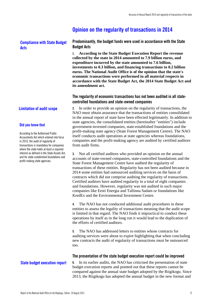### <span id="page-6-0"></span>**Opinion on the regularity of transactions in 2014**

### **Compliance with State Budget Acts**

<span id="page-6-1"></span>**Predominantly, the budget funds were used in accordance with the State Budget Acts** 

**1. According to the State Budget Execution Report the revenue collected by the state in 2014 amounted to 7.9 billion euros, and expenditure incurred by the state amounted to 7.6 billion, investments to 0.3 billion, and financing transactions to 0.2 billion euros. The National Audit Office is of the opinion that the state's economic transactions were performed in all material respects in accordance with the State Budget Act, the 2014 State Budget Act and its amendment act.**

#### <span id="page-6-2"></span>**The regularity of economic transactions has not been audited in all statecontrolled foundations and state-owned companies**

**2.** In order to provide an opinion on the regularity of transactions, the NAO must obtain assurance that the transactions of entities consolidated in the annual report of state have been effected legitimately. In addition to state agencies, the consolidated entities (hereinafter "entities") include government-invested companies, state-established foundations and the profit-making state agency (State Forest Management Centre). The NAO itself conducts audit operations at state agencies whereas foundations, companies and the profit-making agency are audited by certified auditors from audit firms.

**3.** Not all certified auditors who provided an opinion on the annual accounts of state-owned companies, state-controlled foundations and the State Forest Management Centre have audited the regularity of transactions of these entities. Regularity has not been audited because in 2014 some entities had outsourced auditing services on the basis of contracts which did not comprise auditing the regularity of transactions. Certified auditors have audited regularity in a total of eight companies and foundations. However, regularity was not audited in such major companies like Eesti Energia and Tallinna Sadam or foundations like KredEx and the Environmental Investment Centre.

**4.** The NAO has not conducted additional audit procedures in these entities to assess the legality of transactions meaning that the audit scope is limited in that regard. The NAO finds it impractical to conduct these operations by itself as in the long run it would lead to the duplication of the efforts of certified auditors.

**5.** The NAO has addressed letters to entities whose contracts for auditing services were about to expire highlighting that when concluding new contracts the audit of regularity of transactions must be outsourced too.

#### <span id="page-6-3"></span>**The presentation of the state budget execution report could be improved**

**6.** In its earlier audits, the NAO has criticised the presentation of state budget execution reports and pointed out that these reports cannot be compared against the annual state budget adopted by the Riigikogu. Since 2013, the Riigikogu has adopted the annual budget in the new format and

#### **Limitation of audit scope**

#### **Did you know that**

According to the Authorised Public Accountants Act which entered into force in 2010, the audit of regularity of transactions is mandatory for companies where the state holds at least a required interest as defined in the State Assets Act, and for state-established foundations and profit-making state agencies.

#### **State budget execution report**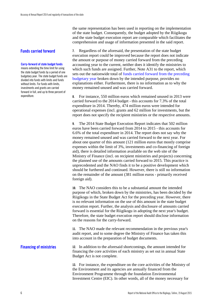#### **Funds carried forward**

#### **Carry-forward of state budget funds**

means extending the time limit for using the state budget funds by a period of one budgetary year. The state budget funds are divided into funds with limits and funds without limits. For funds with limits, investments and grants are carried forward in full, and up to three percent of expenditure.

the same representation has been used in reporting on the implementation of the state budget. Consequently, the budget adopted by the Riigikogu and the state budget execution report are comparable which facilitates the comprehension and usage of information presented in the said report.

**7.** Regardless of the aforesaid, the presentation of the state budget execution report could be improved because the report does not indicate the amount or purpose of money carried forward from the preceding accounting year to the current, neither does it identify the ministries to which such funds are assigned. Further, Note A31 to the report, which sets out the nationwide total of funds carried forward from the preceding budgetary year broken down by the intended purpose, provides no explanations either. Furthermore, there is no information as to why the money remained unused and was carried forward.

**8.** For instance, 550 million euros which remained unused in 2013 were carried forward to the 2014 budget - this accounts for 7.3% of the total expenditure in 2014. Thereby, 474 million euros were intended for operational expenses (incl. grants and 62 million for investments, but the report does not specify the recipient ministries or the respective amounts.

**9.** The 2014 State Budget Execution Report indicates that 502 million euros have been carried forward from 2014 to 2015 - this accounts for 6.6% of the total expenditure in 2014. The report does not say why the money remained unused and was carried forward to the next year. For about one quarter of this amount (121 million euros that mostly comprise expenses within the limit of 3%, investments and co-financing of foreign aid), there is detailed information available on the web site of the Ministry of Finance (incl. on recipient ministries and projects) concerning the planned use of the amounts carried forward to 2015. This practice is unprecedented and the NAO finds it to be a positive development which should be furthered and continued. However, there is still no information on the remainder of the amount (381 million euros - primarily received foreign aid).

**10.** The NAO considers this to be a substantial amount the intended purpose of which, broken down by the ministries, has been decided by the Riigikogu in the State Budget Act for the preceding year. However, there is no relevant information on the use of this amount in the state budget execution report. Further, the analysis and disclosure of amounts carried forward is essential for the Riigikogu in adopting the next year's budget. Therefore, the state budget execution report should disclose information on the reasons for the carry-forward.

**11.** The NAO made the relevant recommendation in the previous year's audit report, and to some degree the Ministry of Finance has taken this into account in the preparation of budget documents.

**12.** In addition to the aforesaid shortcomings, the amount intended for financing the core activities of each ministry as set out in annual State Budget Act is not complete. **Financing of ministries**

> **13.** For instance, the expenditure on the core activities of the Ministry of the Environment and its agencies are annually financed from the Environment Programme through the foundation Environmental Investment Centre (EIC). In other words, all of the money necessary for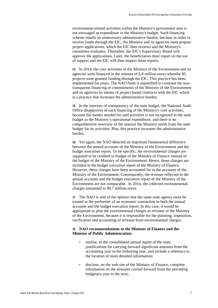environment-related activities within the Ministry's government area is not envisaged as expenditure in the Ministry's budget. Such financing scheme entails an unnecessary administrative burden, because in order to receive funds through the EIC, the Ministry and its agencies must prepare project applications, which the EIC then reviews and the Ministry's committee evaluates. Thereafter, the EIC's Supervisory Board will approve the applications. Later, the beneficiaries must report on the use of support and the EIC will then inspect these reports.

**14.** In 2014, the core activities of the Ministry of the Environment and its agencies were financed in the amount of 8.8 million euros whereby 85 projects were granted funding through the EIC. This practice has been implemented for years. The NAO finds it unjustified to continue the nontransparent financing of commitments of the Ministry of the Environment and its agencies by means of project-based contracts with the EIC which is a practice that increases the administrative burden.

**15.** In the interests of transparency of the state budget, the National Audit Office disapproves of such financing of the Ministry's core activities, because the money needed for said activities is not recognised in the state budget as the Ministry's operational expenditure, and there is no comprehensive overview of the amount the Ministry needs from the state budget for its activities. Plus, this practice increases the administrative burden.

**16.** Yet again, the NAO detected an important fundamental difference between the annual accounts of the Ministry of the Environment and the budget execution report. To be specific, the environmental charges are supposed to be credited to budget of the Ministry of Finance instead of the budget of the Ministry of the Environment. Hence, these charges are included in the budget execution report of the Ministry of Finance. However, these charges have been accounted for in the accounts of the Ministry of the Environment. Consequently, the revenue reflected in the annual accounts and the budget execution report of the Ministry of the Environment are not comparable. In 2014, the collected environmental charges amounted to 98.7 million euros.

**17.** The NAO is still of the opinion that the same state agency must be treated as the performer of an economic transaction in both the annual accounts and the budget execution report. In this case, it would be appropriate to plan the environmental charges as revenue of the Ministry of the Environment, because it is responsible for the planning, imposition, verification and accounting of revenue from environmental charges.

#### **18. NAO recommendations to the Minister of Finance and the Minister of Public Administration:**

- outline, in the consolidated annual report of the state, justifications for carrying forward significant amounts from the accounting year to the following year, and include a reference to the location of more detailed information;
- disclose, on the web site of the Ministry of Finance, complete information on the amounts carried forward from the preceding budgetary year to the next;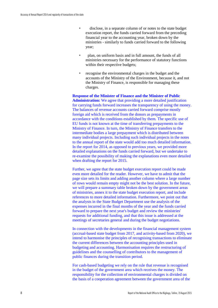- disclose, in a separate column of or notes to the state budget execution report, the funds carried forward from the preceding financial year to the accounting year, broken down by the ministries - similarly to funds carried forward to the following year;
- plan, on uniform basis and in full amount, the funds of all ministries necessary for the performance of statutory functions within their respective budgets;
- recognise the environmental charges in the budget and the accounts of the Ministry of the Environment, because it, and not the Ministry of Finance, is responsible for managing these charges.

**Response of the Minister of Finance and the Minister of Public Administration:** We agree that providing a more detailed justification for carrying funds forward increases the transparency of using the money. The balances of revenue accounts carried forward comprise mostly foreign aid which is received from the donors as prepayments in accordance with the conditions established by them. The specific use of EU funds is not known at the time of transferring prepayments to the Ministry of Finance. In turn, the Ministry of Finance transfers to the intermediate bodies a large prepayment which is distributed between many individual projects. Including such individual projects in the notes to the annual report of the state would add too much detailed information. In the report for 2014, as opposed to previous years, we provided more detailed explanations on the funds carried forward, but we undertake to re-examine the possibility of making the explanations even more detailed when drafting the report for 2015.

Further, we agree that the state budget execution report could be made even more detailed for the reader. However, we have to admit that the page size sets its limits and adding another column where a large number of rows would remain empty might not be the best solution. In the future, we will prepare a summary table broken down by the government areas of ministries, annex it to the state budget execution report, and include references to more detailed information. Furthermore, we point out that the analysts in the State Budget Department use the analysis of the expenses incurred in the final months of the year and the funds carried forward to prepare the next year's budget and review the ministries' requests for additional funding, and that this issue is addressed at the meetings of secretaries general and during the budget negotiations.

In connection with the developments in the financial management system (accrual-based state budget from 2017, and activity-based from 2020), we intend to harmonise the principles of recognising transactions to eliminate the current differences between the accounting principles used in budgeting and accounting. Harmonisation requires the restructuring of guidelines and the counselling of contributors to the management of public finances during the transition period.

For cash-based budgeting we rely on the rule that revenue is recognised in the budget of the government area which receives the money. The responsibility for the collection of environmental charges is divided on the basis of a cooperation agreement between the government area of the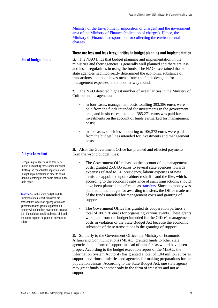Ministry of the Environment (imposition of charges) and the government area of the Ministry of Finance (collection of charges). Hence, the Ministry of Finance is responsible for collecting the environmental charges.

#### <span id="page-10-0"></span>**There are less and less irregularities in budget planning and implementation**

**19.** The NAO finds that budget planning and implementation in the ministries and their agencies is generally well planned and there are less and less irregularities in using the funds. The NAO ascertained that some state agencies had incorrectly determined the economic substance of transactions and made investments from the funds designed for management expenses, and the other way round.

**20.** The NAO detected highest number of irregularities in the Ministry of Culture and its agencies:

- in four cases, management costs totalling 393,386 euros were paid from the funds intended for investments in the government area, and in six cases, a total of 385,271 euros was paid for investments on the account of funds earmarked for management costs;
- in six cases, subsidies amounting to 106,373 euros were paid from the budget lines intended for investments and management costs.

**21.** Also, the Government Office has planned and effected payments from the wrong budget lines:

- The Government Office has, on the account of its management costs, granted 253,435 euros to several state agencies towards expenses related to EU presidency, labour expenses of new ministers appointed upon cabinet reshuffle and the like, which, according to the economic substance of such transactions, should have been planned and effected as transfers. Since no money was planned in the budget for awarding transfers, the Office made use of the funds intended for management costs and granting of support.
- The Government Office has granted its cooperation partners a total of 106,520 euros for organising various events. These grants were paid from the budget intended for the Office's management costs in violation of the State Budget Act because the economic substance of these transactions is the granting of support.

**22.** Similarly to the Government Office, the Ministry of Economic Affairs and Communications (MEAC) granted funds to other state agencies in the form of support instead of transfers as would have been proper. According to the budget execution report of the MEAC, the Information System Authority has granted a total of 1.04 million euros as support to various ministries and agencies for making preparations for the population census. According to the State Budget Act, one state agency may grant funds to another only in the form of transfers and not as support.

#### **Did you know that**

**Use of budget funds**

recognising transactions as transfers allows eliminating these amounts whilst drafting the consolidated report on state budget implementation in order to avoid double recording of the same money in the said report.

**Transfer** – in the state budget and its implementation report, transfers are transactions where an agency within one government area grants support to an agency within another government area so that the recipient could make use of it and the donor expects no goods or services in return.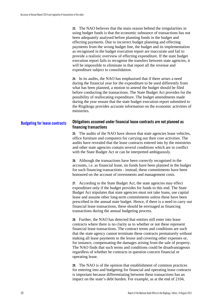**23.** The NAO believes that the main reason behind the irregularities in using budget funds is that the economic substance of transactions has not been adequately analysed before planning funds in the budget and effecting payments. Due to incorrect budget planning and effecting payments from the wrong budget line, the budget and its implementation as recognised in the budget execution report are inaccurate and fail to provide a realistic overview of effecting expenditure. If the state budget execution report fails to recognise the transfers between state agencies, it will be impossible to eliminate in that report all the revenue and expenditure subject to consolidation.

**24.** In its audits, the NAO has emphasised that if there arises a need during the financial year for the expenditure to be used differently from what has been planned, a motion to amend the budget should be filed before conducting the transactions. The State Budget Act provides for the possibility of reallocating expenditure. The budget amendments made during the year ensure that the state budget execution report submitted to the Riigikogu provides accurate information on the economic activities of ministries.

#### **Obligations assumed under financial lease contracts are not planned as financing transactions Budgeting for lease contracts**

<span id="page-11-0"></span>**25.** The audits of the NAO have shown that state agencies lease vehicles, office furniture and computers for carrying out their core activities. The audits have revealed that the lease contracts entered into by the ministries and other state agencies contain several conditions which are in conflict with the State Budget Act or can be interpreted ambiguously.

**26.** Although the transactions have been correctly recognised in the accounts, i.e. as financial lease, no funds have been planned in the budget for such financing transactions - instead, these commitments have been honoured on the account of investments and management costs.

**27.** According to the State Budget Act, the state agencies may effect expenditure only if the budget provides for funds to this end. The State Budget Act stipulates that state agencies must not take loans, use capital lease and assume other long-term commitments unless these have been prescribed in the annual state budget. Hence, if there is a need to carry out financial lease transactions, these should be envisaged as financing transactions during the annual budgeting process.

**28.** Further, the NAO has detected that entities still enter into lease contracts where there is no clarity as to whether or not these represent financial lease transactions. The contract terms and conditions are such that the state agency cannot terminate these contracts prematurely without making all lease payments to the lessor and covering other expenses or, for instance, compensating the damages arising from the sale of property. The NAO finds that such terms and conditions could be disadvantageous regardless of whether he contracts in question concern financial or operating lease.

**29.** The NAO is of the opinion that establishment of common practices for entering into and budgeting for financial and operating lease contracts is important because differentiating between these transactions has an impact on the state's debt burden. For example, as at the end of 2104,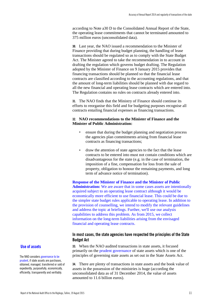according to Note a30 D to the Consolidated Annual Report of the State, the operating lease commitments that cannot be terminated amounted to 375 million euros (unconsolidated data).

**30.** Last year, the NAO issued a recommendation to the Minister of Finance providing that during budget planning, the handling of lease transactions should be regulated so as to comply with the State Budget Act. The Minister agreed to take the recommendation in to account in drafting the regulation which governs budget drafting. The Regulation adopted by the Minister of Finance on 9 January 2015 provides that financing transactions should be planned so that the financial lease contracts are classified according to the accounting regulations, and that the amount of long-term liabilities should be planned with due regard to all the new financial and operating lease contracts which are entered into. The Regulation contains no rules on contracts already entered into.

**31.** The NAO finds that the Ministry of Finance should continue its efforts to reorganise this field and for budgeting purposes recognise all contracts entailing financial expenses as financing transactions.

#### **32. NAO recommendations to the Minister of Finance and the Minister of Public Administration:**

- ensure that during the budget planning and negotiation process the agencies plan commitments arising from financial lease contracts as financing transactions;
- draw the attention of state agencies to the fact that the lease contracts to be entered into must not contain conditions which are disadvantageous for the state (e.g. in the case of termination, the imposition of a fine, compensation for loss from the sale of property, obligation to honour the remaining payments, and long term of advance notice of termination).

**Response of the Minister of Finance and the Minister of Public Administration:** We are aware that in some cases assets are intentionally acquired subject to an operating lease contract although it would be economically more efficient to use financial lease. This could be due to the simpler state budget rules applicable to operating lease. In addition to the provision of counselling, we intend to modify the relevant guidelines and address the topic at briefings. Further, we'll use our analysis capabilities to address this problem. As from 2015, we collect information on the long-term liabilities arising from the envisaged financial and operating lease contracts.

#### <span id="page-12-0"></span>**In most cases, the state agencies have respected the principles of the State Budget Act**

**33.** When the NAO audited transactions in state assets, it focused primarily on the prudent governance of state assets which is one of the principles of governing state assets as set out in the State Assets Act.

**34.** There are plenty of transactions in state assets and the book value of assets in the possession of the ministries is huge (according the unconsolidated data as of 31 December 2014, the value of assets amounted to 11.6 billion euros).

#### **Use of assets**

The NAO considers governance to be prudent, if state assets are purchases, obtained, managed, transferred or sold of expediently, purposefully, economically, efficiently, transparently and verifiably.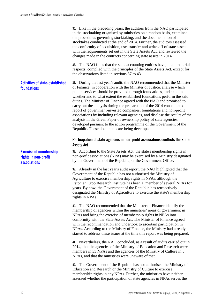**35.** Like in the preceding years, the auditors from the NAO participated in the stocktaking organised by ministries on a random basis, examined the procedures governing stocktaking, and the documentation of stocktakes conducted at the end of 2014. Further, the auditors assessed the conformity of acquisition, use, transfer and write-off of state assets with the requirements set out in the State Assets Act, and reviewed the changes made in the contracts concerning state assets in 2014.

**36.** The NAO finds that the state accounting entities have, in all material respects, complied with the principles of the State Assets Act, except for the observations listed in sections 37 to 43.

#### **37.** During the last year's audit, the NAO recommended that the Minister of Finance, in cooperation with the Minister of Justice, analyse which public services should be provided through foundations, and explain whether and to what extent the established foundations perform the said duties. The Minister of Finance agreed with the NAO and promised to carry out the analysis during the preparation of the 2014 consolidated **Activities of state-established foundations**

report of government-invested companies, foundations and non-profit associations by including relevant agencies, and disclose the results of the analysis in the Green Paper of ownership policy of state agencies, developed pursuant to the action programme of the Government of the Republic. These documents are being developed.

#### <span id="page-13-0"></span>**Participation of state agencies in non-profit associations conflicts the State Assets Act**

**38.** According to the State Assets Act, the state's membership rights in non-profit associations (NPA) may be exercised by a Ministry designated by the Government of the Republic, or the Government Office.

**39.** Already in the last year's audit report, the NAO highlighted that the Government of the Republic has not authorised the Ministry of Agriculture to exercise membership rights in NPAs, although the Estonian Crop Research Institute has been a member of several NPAs for years. By now, the Government of the Republic has retroactively designated the Ministry of Agriculture to exercise the state's membership rights in NPAs.

**40.** The NAO recommended that the Minister of Finance identify the membership of agencies within the ministries' areas of government in NPAs and bring the exercise of membership rights in NPAs into conformity with the State Assets Act. The Minister of Finance agreed with the recommendation and undertook to ascertain participation in NPAs. According to the Ministry of Finance, the Ministry had already started to address these issues at the time this report was being prepared.

**41.** Nevertheless, the NAO concluded, as a result of audits carried out in 2014, that the agencies of the Ministry of Education and Research were members in 33 NPAs and the agencies of the Ministry of Culture in 5 NPAs, and that the ministries were unaware of that.

**42.** The Government of the Republic has not authorised the Ministry of Education and Research or the Ministry of Culture to exercise membership rights in any NPAs. Further, the ministries have neither assessed whether the participation of state agencies in NPAs serves the

**Exercise of membership rights in non-profit associations**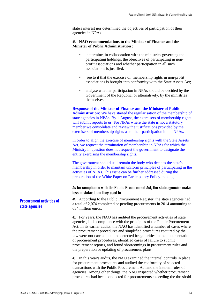state's interest nor determined the objectives of participation of their agencies in NPAs.

#### **43. NAO recommendations to the Minister of Finance and the Minister of Public Administration :**

- determine, in collaboration with the ministries governing the participating holdings, the objectives of participating in nonprofit associations and whether participation in all such associations is justified.
- see to it that the exercise of membership rights in non-profit associations is brought into conformity with the State Assets Act;
- analyse whether participation in NPAs should be decided by the Government of the Republic, or alternatively, by the ministries themselves.

**Response of the Minister of Finance and the Minister of Public Administration:** We have started the regularisation of the membership of state agencies in NPAs. By 1 August, the exercisers of membership rights will submit reports to us. For NPAs where the state is not a statutory member we consolidate and review the justifications provided by the exercisers of membership rights as to their participation in the NPAs.

In order to align the exercise of membership rights with the State Assets Act, we request the termination of membership in NPAs for which the Ministry in question does not request the government to designate the entity exercising the membership rights.

The government should still remain the body who decides the state's membership in order to maintain uniform principles of participating in the activities of NPAs. This issue can be further addressed during the preparation of the White Paper on Participatory Policy-making.

#### <span id="page-14-0"></span>**As for compliance with the Public Procurement Act, the state agencies make less mistakes than they used to**

**44.** According to the Public Procurement Register, the state agencies had a total of 2,074 completed or pending procurements in 2014 amounting to 634 million euros.

**45.** For years, the NAO has audited the procurement activities of state agencies, incl. compliance with the principles of the Public Procurement Act. In its earlier audits, the NAO has identified a number of cases where the procurement procedures and simplified procedures required by the law were not carried out, and detected irregularities in the documentation of procurement procedures, identified cases of failure to submit procurement reports, and found shortcomings in procurement rules and the preparation or updating of procurement plans.

**46.** In this year's audits, the NAO examined the internal controls in place for procurement procedures and audited the conformity of selected transactions with the Public Procurement Act and the internal rules of agencies. Among other things, the NAO inspected whether procurement procedures had been conducted for procurements exceeding the threshold

**Procurement activities of state agencies**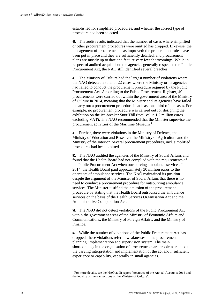established for simplified procedures, and whether the correct type of procedure had been selected.

**47.** The audit results indicated that the number of cases where simplified or other procurement procedures were omitted has dropped. Likewise, the management of procurements has improved: the procurement rules have been put in place and they are sufficiently detailed, and procurement plans are mostly up to date and feature very few shortcomings. While in respect of audited acquisitions the agencies generally respected the Public Procurement Act, the NAO still identified several breaches.

**48.** The Ministry of Culture had the largest number of violations where the NAO detected a total of 22 cases where the Ministry or its agencies had failed to conduct the procurement procedure required by the Public Procurement Act. According to the Public Procurement Register, 40 procurements were carried out within the government area of the Ministry of Culture in 2014, meaning that the Ministry and its agencies have failed to carry out a procurement procedure in at least one third of the cases. For example, no procurement procedure was carried out for designing the exhibition on the ice-breaker Suur Tõll (total value 1.2 million euros excluding VAT). The NAO recommended that the Minister supervise the procurement activities of the Maritime Museum.<sup>[1](#page-15-0)</sup>

**49.** Further, there were violations in the Ministry of Defence, the Ministry of Education and Research, the Ministry of Agriculture and the Ministry of the Interior. Several procurement procedures, incl. simplified procedures had been omitted.

**50.** The NAO audited the agencies of the Ministry of Social Affairs and found that the Health Board had not complied with the requirements of the Public Procurement Act when outsourcing ambulance services. In 2014, the Health Board paid approximately 30 million euros to the operators of ambulance services. The NAO maintained its position despite the argument of the Minister of Social Affairs that there is no need to conduct a procurement procedure for outsourcing ambulance services. The Minister justified the omission of the procurement procedure by stating that the Health Board outsourced the ambulance services on the basis of the Health Services Organisation Act and the Administrative Co-operation Act.

**51.** The NAO did not detect violations of the Public Procurement Act within the government areas of the Ministry of Economic Affairs and Communications, the Ministry of Foreign Affairs, and the Ministry of Finance.

**52.** While the number of violations of the Public Procurement Act has dropped, these violations refer to weaknesses in the procurement planning, implementation and supervision system. The main shortcomings in the organisation of procurements are problems related to the varying interpretation and implementation of the act and insufficient experience or capability, especially in small agencies.

<span id="page-15-0"></span><sup>&</sup>lt;sup>1</sup> For more details, see the NAO audit report "Accuracy of the Annual Accounts 2014 and the legality of the transactions of the Ministry of Culture".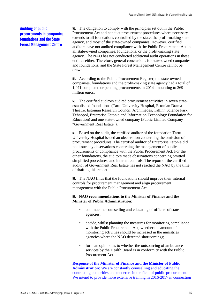#### **Auditing of public procurements in companies, foundations and the State Forest Management Centre**

**53.** The obligation to comply with the principles set out in the Public Procurement Act and conduct procurement procedures where necessary extends to all foundations controlled by the state, the profit-making state agency, and most of the state-owned companies. However, certified auditors have not audited compliance with the Public Procurement Act in all state-owned companies, foundations, or the profit-making state agency. The NAO has not conducted additional audit operations in these entities either. Therefore, general conclusions for state-owned companies and foundations, and the State Forest Management Centre cannot be drawn.

**54.** According to the Public Procurement Register, the state-owned companies, foundations and the profit-making state agency had a total of 1,071 completed or pending procurements in 2014 amounting to 269 million euros.

**55.** The certified auditors audited procurement activities in seven stateestablished foundations (Tartu University Hospital, Estonian Drama Theatre, Estonian Research Council, Archimedes, Tallinn Science Park Tehnopol, Enterprise Estonia and Information Technology Foundation for Education) and one state-owned company (Public Limited Company "Government Real Estate").

**56.** Based on the audit, the certified auditor of the foundation Tartu University Hospital issued an observation concerning the omission of procurement procedures. The certified auditor of Enterprise Estonia did not issue any observations concerning the management of public procurements or compliance with the Public Procurement Act. For the other foundations, the auditors made observations concerning omitted simplified procedures, and internal controls. The report of the certified auditor of Government Real Estate has not reached the NAO by the time of drafting this report.

**57.** The NAO finds that the foundations should improve their internal controls for procurement management and align procurement management with the Public Procurement Act.

#### **58. NAO recommendations to the Minister of Finance and the Minister of Public Administration:**

- continue the counselling and educating of officers of state agencies;
- decide, whilst planning the measures for monitoring compliance with the Public Procurement Act, whether the amount of monitoring activities should be increased in the ministries' agencies where the NAO detected shortcomings;
- form an opinion as to whether the outsourcing of ambulance services by the Health Board is in conformity with the Public Procurement Act.

**Response of the Minister of Finance and the Minister of Public Administration:** We are constantly counselling and educating the contracting authorities and tenderers in the field of public procurement. We intend to provide more extensive training in 2016-2017 in connection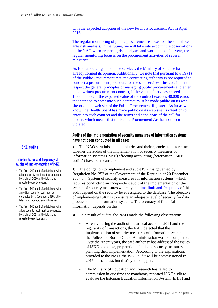with the expected adoption of the new Public Procurement Act in April 2016.

The regular monitoring of public procurement is based on the annual exante risk analysis. In the future, we will take into account the observations of the NAO when preparing risk analyses and work plans. This year, the regular monitoring focuses on the procurement activities of several ministries.

As for outsourcing ambulance services, the Ministry of Finance has already formed its opinion. Additionally, we note that pursuant to § 19 (1) of the Public Procurement Act, the contracting authority is not required to conduct a procurement procedure for the said services - instead, it must respect the general principles of managing public procurements and enter into a written procurement contract, if the value of services exceeds 10,000 euros. If the expected value of the contract exceeds 40,000 euros, the intention to enter into such contract must be made public on its web site or on the web site of the Public Procurement Register. As far as we know, the Health Board has made public on its web site its intention to enter into such contract and the terms and conditions of the call for tenders which means that the Public Procurement Act has not been violated.

#### <span id="page-17-0"></span>**Audits of the implementation of security measures of information systems have not been conducted in all cases**

**59.** The NAO scrutinised the ministries and their agencies to determine whether the audits of the implementation of security measures of information systems (ISKE) affecting accounting (hereinafter "ISKE audits") have been carried out.

**60.** The obligation to implement and audit ISKE is governed by Regulation No. 252 of the Government of the Republic of 20 December 2007 on "System of security measures for information systems" which requires conducting an independent audit of the implementation of the system of security measures whereby the time limit and frequency of this audit depend on the security level assigned to the database. The objective of implementing ISKE is to ensure an adequate level of security for data processed in the information systems. The accuracy of financial information depends on this.

- **61.** As a result of audits, the NAO made the following observations:
	- Already during the audit of the annual accounts 2011 and the regularity of transactions, the NAO detected that the implementation of security measures of information systems in the Police and Border Guard Administration was not completed. Over the recent years, the said authority has addressed the issues of ISKE stocktake, preparation of a list of security measures and planning their implementation. According to the explanations provided to the NAO, the ISKE audit will be commissioned in 2015 at the latest, but that's yet to happen.
	- The Ministry of Education and Research has failed to commission in due time the mandatory repeated ISKE audit to evaluate the Estonian Education Information System (EHIS) and

#### **ISKE audits**

#### Time limits for and frequency of audits of implementation of ISKE

- The first ISKE audit of a database with a high security level must be conducted by 1 March 2010 at the latest and repeated every two years.
- The first ISKE audit of a database with a medium security level must be conducted by 1 December 2010 at the latest and repeated every three years.
- The first ISKE audit of a database with a low security level must be conducted by 1 March 2011 at the latest and repeated every four years.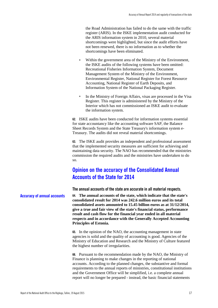the Road Administration has failed to do the same with the traffic register (ARIS). In the ISKE implementation audit conducted for the ARIS information system in 2010, several material shortcomings were highlighted, but since the audit efforts have not been renewed, there is no information as to whether the shortcomings have been eliminated.

- Within the government area of the Ministry of the Environment, the ISKE audits of the following systems have been omitted: Recreational Fisheries Information System, Document Management System of the Ministry of the Environment, Environmental Register, National Register for Forest Resource Accounting, National Register of Earth Deposits, and Information System of the National Packaging Register.
- In the Ministry of Foreign Affairs, visas are processed in the Visa Register. This register is administered by the Ministry of the Interior which has not commissioned an ISKE audit to evaluate the information system.

**62.** ISKE audits have been conducted for information systems essential for state accountancy like the accounting software SAP, the Balance Sheet Records System and the State Treasury's information system e-Treasury. The audits did not reveal material shortcomings.

**63.** The ISKE audit provides an independent and professional assessment that the implemented security measures are sufficient for achieving and maintaining data security. The NAO has recommended that the ministries commission the required audits and the ministries have undertaken to do so.

### <span id="page-18-0"></span>**Opinion on the accuracy of the Consolidated Annual Accounts of the State for 2014**

<span id="page-18-1"></span>**The annual accounts of the state are accurate in all material respects.**

**64. The annual accounts of the state, which indicate that the state's consolidated result for 2014 was 242.6 million euros and its total consolidated assets amounted to 15.45 billion euros as at 31/12/2014, give a true and fair view of the state's financial status, performance result and cash flow for the financial year ended in all material respects and in accordance with the Generally Accepted Accounting Principles of Estonia. Accuracy of annual accounts**

> **65.** In the opinion of the NAO, the accounting management in state agencies is solid and the quality of accounting is good. Agencies of the Ministry of Education and Research and the Ministry of Culture featured the highest number of irregularities.

**66.** Pursuant to the recommendation made by the NAO, the Ministry of Finance is planning to make changes in the reporting of national accounts. According to the planned changes, the substantive and formal requirements to the annual reports of ministries, constitutional institutions and the Government Office will be simplified, i.e. a complete annual report will no longer be prepared - instead, the basic financial statements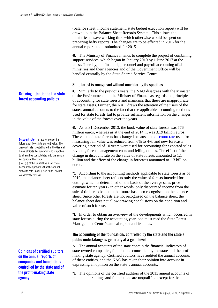(balance sheet, income statement, state budget execution report) will be drawn up in the Balance Sheet Records System. This allows the ministries to save working time which otherwise would be spent on preparing hefty reports. The changes are to be effected in 2016 for the annual reports to be submitted for 2015.

**67.** The Ministry of Finance intends to complete the project of combining support services which began in January 2010 by 1 June 2017 at the latest. Thereby, the financial, personnel and payroll accounting of all ministries and their agencies and of the Government Office will be handled centrally by the State Shared Service Centre.

#### <span id="page-19-0"></span>**State forest is recognised without considering its specifics**

**68.** Similarly to the previous years, the NAO disagrees with the Minister of the Environment and the Minister of Finance as regards the principles of accounting for state forests and maintains that these are inappropriate for state assets. Further, the NAO draws the attention of the users of the state's annual accounts to the fact that the applicable accounting methods used for state forests fail to provide sufficient information on the changes in the value of the forests over the years.

**69.** As at 31 December 2013, the book value of state forests was 776 million euros, whereas as at the end of 2014, it was 3.19 billion euros. The value of state forests has changed because the discount rate used for measuring fair value was reduced from 6% to 4%, and new forecasts covering a period of 10 years were used for accounting for expected sales revenue, forest management costs and felling quotas. The effect of the change in discount rate on the value of state forests amounted to 1.1 billion and the effect of the change in forecasts amounted to 1.3 billion euros.

**70.** According to the accounting methods applicable to state forests as of 2010, the balance sheet reflects only the value of forests intended for cutting, which is determined on the basis of the average sales price estimate for ten years - in other words, only discounted income from the sale of timber to be cut in the future has been recognised on the balance sheet. Since other forests are not recognised on the balance sheet, the balance sheet does not allow drawing conclusions on the condition and value of such forests.

**71.** In order to obtain an overview of the developments which occurred in state forests during the accounting year, one must read the State Forest Management Centre's annual report and its notes.

#### <span id="page-19-1"></span>**The accounting of the foundations controlled by the state and the state's public undertakings is generally at a good level**

**72.** The annual accounts of the state contain the financial indicators of state-owned companies, foundations controlled by the state and the profitmaking state agency. Certified auditors have audited the annual accounts of these entities, and the NAO has taken their opinion into account in expressing an opinion on the state's annual accounts.

**73.** The opinions of the certified auditors of the 2013 annual accounts of public undertakings and foundations are unqualified except for the

#### **Drawing attention to the state forest accounting policies**

**Discount rate** – a rate for converting future cash flows into current value. The discount rate is established in the General Rules of State Accountancy and it applies to all entities consolidated into the annual accounts of the state.

§ 48 (9) of the General Rules of State Accountancy provides that the annual discount rate is 4% (used to be 6% until 24 November 2014)

**Opinions of certified auditors on the annual reports of companies and foundations controlled by the state and of the profit-making state agency**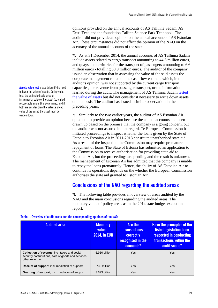opinions provided on the annual accounts of AS Tallinna Sadam, AS Eesti Teed and the foundation Tallinn Science Park Tehnopol . The auditor did not provide an opinion on the annual accounts of AS Estonian Air. These circumstances did not affect the opinion of the NAO on the accuracy of the annual accounts of the state.

**74.** As at 31 December 2014, the annual accounts of AS Tallinna Sadam include assets related to cargo transport amounting to 44.3 million euros, and quays and territories for the transport of passengers amounting to 6.6 million euros - totalling 50.9 million euros. The auditor of the company issued an observation that in assessing the value of the said assets the corporate management relied on the cash flow estimate which, in the auditor's opinion, was not supported by the current cargo transport capacities, the revenue from passenger transport, or the information learned during the audit. The management of AS Tallinna Sadam tested the value of assets but did not consider it necessary to write down assets on that basis. The auditor has issued a similar observation in the preceding years.

**75.** Similarly to the two earlier years, the auditor of AS Estonian Air opted not to provide an opinion because the annual accounts had been drawn up based on the premise that the company is a going concern, but the auditor was not assured in that regard. Te European Commission has initiated proceedings to inspect whether the loans given by the State of Estonia to Estonian Air in 2011-2013 constitute unauthorised state aid. As a result of the inspection the Commission may require premature repayment of loans. The State of Estonia has submitted an application to the Commission to receive authorisation for providing state aid to Estonian Air, but the proceedings are pending and the result is unknown. The management of Estonian Air has admitted that the company is unable to repay the loans prematurely. Hence, the ability of AS Estonian Air to continue its operations depends on the whether the European Commission authorises the state aid granted to Estonian Air.

### <span id="page-20-0"></span>**Conclusions of the NAO regarding the audited areas**

**76.** The following table provides an overview of areas audited by the NAO and the main conclusions regarding the audited areas. The monetary value of policy areas as in the 2014 state budget execution report.

| <b>Audited area</b>                                                                                                          | <b>Monetary</b><br>value in<br><b>2014, in EUR</b> | <b>Are the</b><br><b>transactions</b><br>correctly<br>recognised in the<br>accounts? | <b>Have the principles of the</b><br>listed legislation been<br>respected in conducting<br>transactions within the<br>audit scope? |  |
|------------------------------------------------------------------------------------------------------------------------------|----------------------------------------------------|--------------------------------------------------------------------------------------|------------------------------------------------------------------------------------------------------------------------------------|--|
| <b>Collection of revenue, incl. taxes and social</b><br>security contributions, sale of goods and services,<br>other revenue | 6.960 billion                                      | Yes                                                                                  | Yes                                                                                                                                |  |
| Receipt of support, incl. mediation of support                                                                               | 733 million                                        | Yes                                                                                  | <b>Yes</b>                                                                                                                         |  |
| Granting of support, incl. mediation of support                                                                              | 3.673 billion                                      | Yes                                                                                  | Yes                                                                                                                                |  |

#### **Table 1. Overview of audit areas and the corresponding opinions of the NAO**

**Assets value test** is used to identify the need to lower the value of assets. During value test, the estimated sale price or instrumental value of the asset (so-called recoverable amount) is determined, and if both are smaller than the balance sheet value of the asset, the asset must be written down.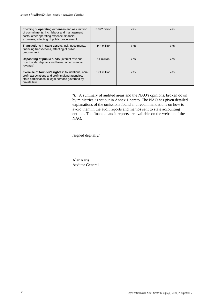| Effecting of <b>operating expenses</b> and assumption<br>of commitments, incl. labour and management<br>costs, other operating expense, financial<br>expenses, effecting of public procurement | 3.892 billion | <b>Yes</b> | Yes        |
|------------------------------------------------------------------------------------------------------------------------------------------------------------------------------------------------|---------------|------------|------------|
| <b>Transactions in state assets, incl. investments,</b><br>financing transactions, effecting of public<br>procurement                                                                          | 448 million   | <b>Yes</b> | <b>Yes</b> |
| <b>Depositing of public funds (interest revenue)</b><br>from bonds, deposits and loans, other financial<br>revenue)                                                                            | 11 million    | <b>Yes</b> | Yes        |
| <b>Exercise of founder's rights in foundations, non-</b><br>profit associations and profit-making agencies;<br>state participation in legal persons governed by<br>private law                 | 174 million   | <b>Yes</b> | <b>Yes</b> |

**77.** A summary of audited areas and the NAO's opinions, broken down by ministries, is set out in Annex 1 hereto. The NAO has given detailed explanations of the omissions found and recommendations on how to avoid them in the audit reports and memos sent to state accounting entities. The financial audit reports are available on the website of the NAO.

/signed digitally/

Alar Karis Auditor General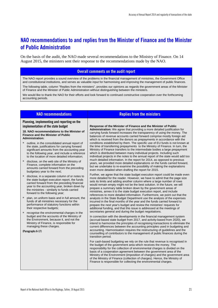### <span id="page-22-0"></span>**NAO recommendations to and replies from the Minister of Finance and the Minister of Public Administration**

On the basis of the audit, the NAO made several recommendations to the Ministry of Finance. On 14 August 2015, the ministers sent their response to the recommendations made by the NAO.

#### **Overall comments on the audit report**

The NAO report provides a sound overview of the problems in the financial management of ministries, the Government Office and constitutional institutions, and serves as valuable input for harmonising and improving the management of public finances.

The following table, column "Replies from the ministers", provides our opinions as regards the government areas of the Minister of Finance and the Minister of Public Administration without distinguishing between the ministers.

We would like to thank the NAO for their efforts and look forward to continued constructive cooperation over the forthcoming accounting periods.

#### **Planning, implementing and reporting on the implementation of the state budget**

#### **18. NAO recommendations to the Minister of Finance and the Minister of Public Administration:**

- outline, in the consolidated annual report of the state, justifications for carrying forward significant amounts from the accounting year to the following year, and include a reference to the location of more detailed information;
- disclose, on the web site of the Ministry of Finance, complete information on the amounts carried forward from the preceding budgetary year to the next;
- disclose, in a separate column of or notes to the state budget execution report, the funds carried forward from the preceding financial year to the accounting year, broken down by the ministries - similarly to funds carried forward to the following year;
- plan, on uniform basis and in full amount, the funds of all ministries necessary for the performance of statutory functions within their respective budgets;
- recognise the environmental charges in the budget and the accounts of the Ministry of the Environment, because it, and not the Ministry of Finance, is responsible for managing these charges.

**(Paragraphs 6-17)**

#### **NAO recommendations Replies from the ministers Replies Replies Replies Replies Replies Replies Replies Replies Replies Replies Replies Replies Replies Replies Replies Replies Replies**

**Response of the Minister of Finance and the Minister of Public Administration:** We agree that providing a more detailed justification for carrying funds forward increases the transparency of using the money. The balances of revenue accounts carried forward comprise mostly foreign aid which is received from the donors as prepayments in accordance with the conditions established by them. The specific use of EU funds is not known at the time of transferring prepayments to the Ministry of Finance. In turn, the Ministry of Finance transfers to the intermediate bodies a large prepayment which is distributed between many individual projects. Including such individual projects in the notes to the annual report of the state would add too much detailed information. In the report for 2014, as opposed to previous years, we provided more detailed explanations on the funds carried forward, but we undertake to re-examine the possibility of making the explanations even more detailed when drafting the report for 2015.

Further, we agree that the state budget execution report could be made even more detailed for the reader. However, we have to admit that the page size sets its limits and adding another column where a large number of rows would remain empty might not be the best solution. In the future, we will prepare a summary table broken down by the government areas of ministries, annex it to the state budget execution report, and include references to more detailed information. Furthermore, we point out that the analysts in the State Budget Department use the analysis of the expenses incurred in the final months of the year and the funds carried forward to prepare the next year's budget and review the ministries' requests for additional funding, and that this issue is addressed at the meetings of secretaries general and during the budget negotiations.

In connection with the developments in the financial management system (accrual-based state budget from 2017, and activity-based from 2020), we intend to harmonise the principles of recognising transactions to eliminate the current differences between the accounting principles used in budgeting and accounting. Harmonisation requires the restructuring of guidelines and the counselling of contributors to the management of public finances during the transition period.

For cash-based budgeting we rely on the rule that revenue is recognised in the budget of the government area which receives the money. The responsibility for the collection of environmental charges is divided on the basis of a cooperation agreement between the government area of the Ministry of the Environment (imposition of charges) and the government area of the Ministry of Finance (collection of charges). Hence, the Ministry of Finance is responsible for collecting the environmental charges.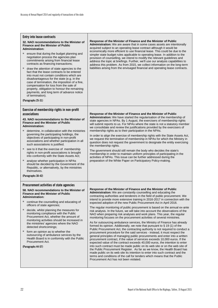| <b>Entry into lease contracts</b><br>32. NAO recommendations to the Minister of<br><b>Finance and the Minister of Public</b><br><b>Administration:</b><br>ensure that during the budget planning and<br>negotiation process the agencies plan<br>commitments arising from financial lease<br>contracts as financing transactions;<br>draw the attention of state agencies to the<br>ш<br>fact that the lease contracts to be entered<br>into must not contain conditions which are<br>disadvantageous for the state (e.g. in the<br>case of termination, the imposition of a fine,<br>compensation for loss from the sale of<br>property, obligation to honour the remaining<br>payments, and long term of advance notice<br>of termination).<br>(Paragraphs 25-31) | Response of the Minister of Finance and the Minister of Public<br>Administration: We are aware that in some cases assets are intentionally<br>acquired subject to an operating lease contract although it would be<br>economically more efficient to use financial lease. This could be due to the<br>simpler state budget rules applicable to operating lease. In addition to the<br>provision of counselling, we intend to modify the relevant guidelines and<br>address the topic at briefings. Further, we'll use our analysis capabilities to<br>address this problem. As from 2015, we collect information on the long-term<br>liabilities arising from the envisaged financial and operating lease contracts.                                                                                                                                                                                                                                                                                                                                                                                                                                                                                                                                                                                                                                                                                                                                                                                                                                                                                                                         |
|---------------------------------------------------------------------------------------------------------------------------------------------------------------------------------------------------------------------------------------------------------------------------------------------------------------------------------------------------------------------------------------------------------------------------------------------------------------------------------------------------------------------------------------------------------------------------------------------------------------------------------------------------------------------------------------------------------------------------------------------------------------------|----------------------------------------------------------------------------------------------------------------------------------------------------------------------------------------------------------------------------------------------------------------------------------------------------------------------------------------------------------------------------------------------------------------------------------------------------------------------------------------------------------------------------------------------------------------------------------------------------------------------------------------------------------------------------------------------------------------------------------------------------------------------------------------------------------------------------------------------------------------------------------------------------------------------------------------------------------------------------------------------------------------------------------------------------------------------------------------------------------------------------------------------------------------------------------------------------------------------------------------------------------------------------------------------------------------------------------------------------------------------------------------------------------------------------------------------------------------------------------------------------------------------------------------------------------------------------------------------------------------------------------------------|
| Exercise of membership rights in non-profit<br>associations<br>43. NAO recommendations to the Minister of<br><b>Finance and the Minister of Public</b><br><b>Administration:</b><br>determine, in collaboration with the ministries<br>governing the participating holdings, the<br>objectives of participating in non-profit<br>associations and whether participation in all<br>such associations is justified.<br>see to it that the exercise of membership<br>ш<br>rights in non-profit associations is brought<br>into conformity with the State Assets Act;<br>analyse whether participation in NPAs<br>ш<br>should be decided by the Government of the<br>Republic, or alternatively, by the ministries<br>themselves.<br>(Paragraphs 38-42)                 | Response of the Minister of Finance and the Minister of Public<br>Administration: We have started the regularisation of the membership of<br>state agencies in NPAs. By 1 August, the exercisers of membership rights<br>will submit reports to us. For NPAs where the state is not a statutory member<br>we consolidate and review the justifications provided by the exercisers of<br>membership rights as to their participation in the NPAs.<br>In order to align the exercise of membership rights with the State Assets Act,<br>we request the termination of membership in NPAs for which the Ministry in<br>question does not request the government to designate the entity exercising<br>the membership rights.<br>The government should still remain the body who decides the state's<br>membership in order to maintain uniform principles of participating in the<br>activities of NPAs. This issue can be further addressed during the<br>preparation of the White Paper on Participatory Policy-making.                                                                                                                                                                                                                                                                                                                                                                                                                                                                                                                                                                                                                       |
| Procurement activities of state agencies<br>58. NAO recommendations to the Minister of<br><b>Finance and the Minister of Public</b><br><b>Administration:</b><br>continue the counselling and educating of<br>officers of state agencies;<br>decide, whilst planning the measures for<br>monitoring compliance with the Public<br>Procurement Act, whether the amount of<br>monitoring activities should be increased in<br>the ministries' agencies where the NAO<br>detected shortcomings;<br>form an opinion as to whether the<br>outsourcing of ambulance services by the<br>Health Board is in conformity with the Public<br>Procurement Act.<br>(Paragraphs 44-57)                                                                                            | Response of the Minister of Finance and the Minister of Public<br>Administration: We are constantly counselling and educating the<br>contracting authorities and tenderers in the field of public procurement. We<br>intend to provide more extensive training in 2016-2017 in connection with the<br>expected adoption of the new Public Procurement Act in April 2016.<br>The regular monitoring of public procurement is based on the annual ex-ante<br>risk analysis. In the future, we will take into account the observations of the<br>NAO when preparing risk analyses and work plans. This year, the regular<br>monitoring focuses on the procurement activities of several ministries.<br>As for outsourcing ambulance services, the Ministry of Finance has already<br>formed its opinion. Additionally, we note that pursuant to § 19 (1) of the<br>Public Procurement Act, the contracting authority is not required to conduct a<br>procurement procedure for the said services - instead, it must respect the<br>general principles of managing public procurements and enter into a written<br>procurement contract, if the value of services exceeds 10,000 euros. If the<br>expected value of the contract exceeds 40,000 euros, the intention to enter<br>into such contract must be made public on its web site or on the web site of<br>the Public Procurement Register. As far as we know, the Health Board has<br>made public on its web site its intention to enter into such contract and the<br>terms and conditions of the call for tenders which means that the Public<br>Procurement Act has not been violated. |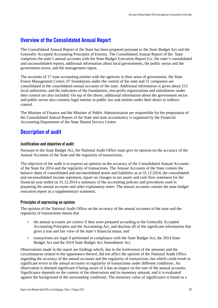### <span id="page-24-0"></span>**Overview of the Consolidated Annual Report**

The Consolidated Annual Report of the State has been prepared pursuant to the State Budget Act and the Generally Accepted Accounting Principles of Estonia. The Consolidated Annual Report of the State comprises the state's annual accounts with the State Budget Execution Report (i.e. the state's consolidated and unconsolidated report), additional information about local governments, the public sector and the government sector, and the management report.

The accounts of 17 state accounting entities with the agencies in their areas of government, the State Forest Management Centre, 67 foundations under the control of the state and 31 companies are consolidated in the consolidated annual accounts of the state. Additional information is given about 215 local authorities, and the indicators of the foundations, non-profit organisations and subsidiaries under their control are also included. On top of the above, additional information about the government sector and public sector also contains legal entities in public law and entities under their direct or indirect control.

The Minister of Finance and the Minister of Public Administration are responsible for the preparation of the Consolidated Annual Report of the State and state accountancy is organised by the Financial Accounting Department of the State Shared Service Centre.

### <span id="page-24-1"></span>**Description of audit**

#### **Justification and objective of audit**

Pursuant to the State Budget Act, the National Audit Office must give its opinion on the accuracy of the Annual Accounts of the State and the regularity of transactions.

The objective of the audit is to express an opinion on the accuracy of the Consolidated Annual Accounts of the State for 2014 and the regularity of transactions. The Annual Accounts of the State contain the balance sheet of consolidated and unconsolidated assets and liabilities as at 31.12.2014, the consolidated and unconsolidated income statement, report on changes in net assets and cash flow statement for the financial year ended on 31.12.2014 a summary of the accounting policies and procedures used in preparing the annual accounts and other explanatory notes. The annual accounts contain the state budget execution report as a supplementary statement.

#### **Principles of expressing an opinion**

The opinion of the National Audit Office on the accuracy of the annual accounts of the state and the regularity of transactions means that

- the annual accounts are correct if they were prepared according to the Generally Accepted Accounting Principles and the Accounting Act, and disclose all of the significant information that gives a true and fair view of the state's financial status; and
- transactions are legal if performed in compliance with the State Budget Act, the 2014 State Budget Act and the 2014 State Budget Act Amendment Act.

Observations made in the report are findings which, due to the irrelevance of the amounts and the circumstances related to the appearance thereof, did not affect the opinion of the National Audit Office regarding the accuracy of the annual accounts and the regularity of transactions, but which could result in significant errors in the annual accounts or regularity of transactions under different conditions. An observation is deemed significant if being aware of it has an impact on the user of the annual accounts. Significance depends on the content of the observation and its monetary amount, and it is evaluated against the background of the surrounding conditions. The monetary value of significance is found as a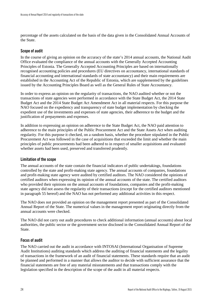percentage of the assets calculated on the basis of the data given in the Consolidated Annual Accounts of the State.

#### **Scope of audit**

In the course of giving an opinion on the accuracy of the state's 2014 annual accounts, the National Audit Office evaluated the compliance of the annual accounts with the Generally Accepted Accounting Principles of Estonia. The Generally Accepted Accounting Principles are based on internationally recognised accounting policies and procedures (EU directives on accountancy, international standards of financial accounting and international standards of state accountancy) and their main requirements are established in the Accounting Act of the Republic of Estonia, which are supplemented by the guidelines issued by the Accounting Principles Board as well as the General Rules of State Accountancy.

In order to express an opinion on the regularity of transactions, the NAO audited whether or not the transactions of state agencies were performed in accordance with the State Budget Act, the 2014 State Budget Act and the 2014 State Budget Act Amendment Act in all material respects. For this purpose the NAO focused on the expediency and transparency of state budget implementation by checking the expedient use of the investments and expenses of state agencies, their adherence to the budget and the justification of prepayments and expenses.

In addition to expressing an opinion on adherence to the State Budget Act, the NAO paid attention to adherence to the main principles of the Public Procurement Act and the State Assets Act when auditing regularity. For this purpose it checked, on a random basis, whether the procedure stipulated in the Public Procurement Act was followed in the case of acquisitions that exceeded the limit and whether the main principles of public procurements had been adhered to in respect of smaller acquisitions and evaluated whether assets had been used, preserved and transferred prudently.

#### **Limitation of the scope**

The annual accounts of the state contain the financial indicators of public undertakings, foundations controlled by the state and profit-making state agency. The annual accounts of companies, foundations and profit-making state agency were audited by certified auditors. The NAO considered the opinions of certified auditors when expressing its opinion of the annual accounts of the state. The certified auditors who provided their opinions on the annual accounts of foundations, companies and the profit-making state agency did not assess the regularity of their transactions (except for the certified auditors mentioned in paragraph 55 hereof) and the NAO has not performed any additional activities in this respect.

The NAO does not provided an opinion on the management report presented as part of the Consolidated Annual Report of the State. The numerical values in the management report originating directly from the annual accounts were checked.

The NAO did not carry out audit procedures to check additional information (annual accounts) about local authorities, the public sector or the government sector disclosed in the Consolidated Annual Report of the State.

#### **Focus of audit**

The NAO carried out the audit in accordance with INTOSAI (International Organisation of Supreme Audit Institutions) auditing standards which address the auditing of financial statements and the legality of transactions in the framework of an audit of financial statements. These standards require that an audit be planned and performed in a manner that allows the auditor to decide with sufficient assurance that the financial statements are free of any material misstatements and that transactions comply with the legislation specified in the description of the scope of the audit in all material respects.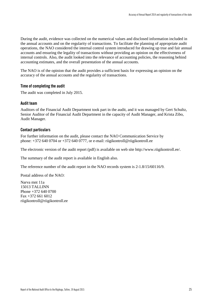During the audit, evidence was collected on the numerical values and disclosed information included in the annual accounts and on the regularity of transactions. To facilitate the planning of appropriate audit operations, the NAO considered the internal control system introduced for drawing up true and fair annual accounts and ensuring the legality of transactions without providing an opinion on the effectiveness of internal controls. Also, the audit looked into the relevance of accounting policies, the reasoning behind accounting estimates, and the overall presentation of the annual accounts.

The NAO is of the opinion that the audit provides a sufficient basis for expressing an opinion on the accuracy of the annual accounts and the regularity of transactions.

#### **Time of completing the audit**

The audit was completed in July 2015.

#### **Audit team**

Auditors of the Financial Audit Department took part in the audit, and it was managed by Gert Schultz, Senior Auditor of the Financial Audit Department in the capacity of Audit Manager, and Krista Zibo, Audit Manager.

#### **Contact particulars**

For further information on the audit, please contact the NAO Communication Service by phone: +372 640 0704 or +372 640 0777, or e-mail: riigikontroll@riigikontroll.ee

The electronic version of the audit report (pdf) is available on web site [http://www.riigikontroll.ee/.](http://www.riigikontroll.ee/)

The summary of the audit report is available in English also.

The reference number of the audit report in the NAO records system is 2-1.8/15/60116/9.

Postal address of the NAO:

Narva mnt 11a 15013 TALLINN Phone +372 640 0700 Fax +372 661 6012 riigikontroll@riigikontroll.ee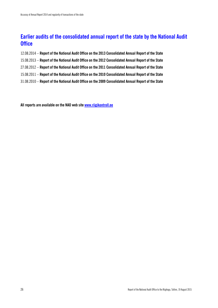### <span id="page-27-0"></span>**Earlier audits of the consolidated annual report of the state by the National Audit Office**

- 12.08.2014 **Report of the National Audit Office on the 2013 Consolidated Annual Report of the State**
- 15.08.2013 **Report of the National Audit Office on the 2012 Consolidated Annual Report of the State**
- 27.08.2012 **Report of the National Audit Office on the 2011 Consolidated Annual Report of the State**
- 15.08.2011 **Report of the National Audit Office on the 2010 Consolidated Annual Report of the State**
- 31.08.2010 **Report of the National Audit Office on the 2009 Consolidated Annual Report of the State**

**All reports are available on the NAO web sit[e www.riigikontroll.ee](http://www.riigikontroll.ee/)**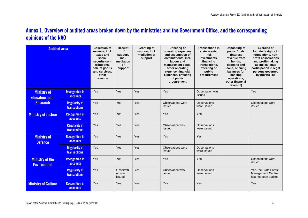### **Annex 1. Overview of audited areas broken down by the ministries and the Government Office, and the corresponding opinions of the NAO**

| <b>Audited area</b>                          |                                             | <b>Collection of</b><br>revenue, incl.<br>taxes and<br>social<br>security con-<br>tributions,<br>sale of goods<br>and services,<br>other<br>revenue | <b>Receipt</b><br>Οf<br>support,<br>incl.<br>mediation<br>οf<br>support | <b>Granting of</b><br>support, incl.<br>mediation of<br>support | <b>Effecting of</b><br>operating expenses<br>and assumption of<br>commitments, incl.<br>labour and<br>management costs,<br>other operating<br>expense, financial<br>expenses, effecting<br>of public<br>procurement | <b>Transactions in</b><br>state assets.<br>incl.<br>investments,<br>financing<br>transactions.<br>effecting of<br>public<br>procurement | Depositing of<br>public funds<br><i><b>(interest)</b></i><br>revenue from<br>bonds.<br>deposits and<br>loans, opening<br>balances for<br>banking<br>operations,<br>other financial<br>revenue) | <b>Exercise of</b><br>founder's rights in<br>foundations, non-<br>profit associations<br>and profit-making<br>agencies; state<br>participation in legal<br>persons governed<br>by private law |
|----------------------------------------------|---------------------------------------------|-----------------------------------------------------------------------------------------------------------------------------------------------------|-------------------------------------------------------------------------|-----------------------------------------------------------------|---------------------------------------------------------------------------------------------------------------------------------------------------------------------------------------------------------------------|-----------------------------------------------------------------------------------------------------------------------------------------|------------------------------------------------------------------------------------------------------------------------------------------------------------------------------------------------|-----------------------------------------------------------------------------------------------------------------------------------------------------------------------------------------------|
| <b>Ministry of</b><br><b>Education and -</b> | <b>Recognition in</b><br><b>accounts</b>    | Yes                                                                                                                                                 | Yes                                                                     | Yes                                                             | Yes                                                                                                                                                                                                                 | Observation was<br>issued                                                                                                               |                                                                                                                                                                                                | Yes                                                                                                                                                                                           |
| <b>Research</b>                              | <b>Regularity of</b><br><b>transactions</b> | Yes                                                                                                                                                 | Yes                                                                     | Yes                                                             | Observations were<br>issued                                                                                                                                                                                         | <b>Observations</b><br>were issued                                                                                                      |                                                                                                                                                                                                | Observations were<br>issued                                                                                                                                                                   |
| <b>Ministry of Justice</b>                   | <b>Recognition in</b><br><b>accounts</b>    | Yes                                                                                                                                                 | Yes                                                                     | Yes                                                             | Yes                                                                                                                                                                                                                 | Yes                                                                                                                                     |                                                                                                                                                                                                |                                                                                                                                                                                               |
|                                              | <b>Regularity of</b><br><b>transactions</b> | Yes                                                                                                                                                 | Yes                                                                     | Yes                                                             | Observation was<br>issued                                                                                                                                                                                           | <b>Observations</b><br>were issued                                                                                                      |                                                                                                                                                                                                |                                                                                                                                                                                               |
| <b>Ministry of</b><br><b>Defence</b>         | <b>Recognition in</b><br><b>accounts</b>    | Yes                                                                                                                                                 | Yes                                                                     | Yes                                                             | Yes                                                                                                                                                                                                                 | Yes                                                                                                                                     |                                                                                                                                                                                                |                                                                                                                                                                                               |
|                                              | <b>Regularity of</b><br><b>transactions</b> | Yes                                                                                                                                                 | Yes                                                                     | Yes                                                             | Observations were<br>issued                                                                                                                                                                                         | <b>Observations</b><br>were issued                                                                                                      |                                                                                                                                                                                                |                                                                                                                                                                                               |
| <b>Ministry of the</b><br><b>Environment</b> | <b>Recognition in</b><br><b>accounts</b>    | Yes                                                                                                                                                 | Yes                                                                     | Yes                                                             | Yes                                                                                                                                                                                                                 | Yes                                                                                                                                     |                                                                                                                                                                                                | Observations were<br>issued                                                                                                                                                                   |
|                                              | <b>Regularity of</b><br><b>transactions</b> | Yes                                                                                                                                                 | Observati<br>on was<br>issued                                           | Yes                                                             | Observation was<br>issued                                                                                                                                                                                           | <b>Observations</b><br>were issued                                                                                                      |                                                                                                                                                                                                | Yes, the State Forest<br><b>Management Centre</b><br>has not been audited                                                                                                                     |
| <b>Ministry of Culture</b>                   | <b>Recognition in</b><br><b>accounts</b>    | Yes                                                                                                                                                 | Yes                                                                     | Yes                                                             | Yes                                                                                                                                                                                                                 | Yes                                                                                                                                     |                                                                                                                                                                                                | Yes                                                                                                                                                                                           |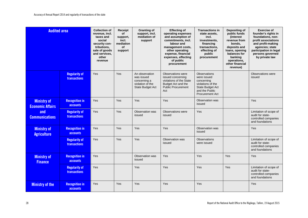| <b>Audited area</b>                           |                                             | <b>Collection of</b><br>revenue, incl.<br>taxes and<br>social<br>security con-<br>tributions,<br>sale of goods<br>and services,<br>other<br>revenue | Receipt<br>of<br>support,<br>incl.<br>mediation<br><b>of</b><br>support | <b>Granting of</b><br>support, incl.<br>mediation of<br>support                             | <b>Effecting of</b><br>operating expenses<br>and assumption of<br>commitments, incl.<br>labour and<br>management costs,<br>other operating<br>expense, financial<br>expenses, effecting<br>of public<br>procurement | <b>Transactions in</b><br>state assets.<br>incl.<br>investments,<br>financing<br>transactions,<br>effecting of<br>public<br>procurement | Depositing of<br>public funds<br>(interest)<br>revenue from<br>bonds,<br>deposits and<br>loans, opening<br>balances for<br>banking<br>operations,<br>other financial<br>revenue) | <b>Exercise of</b><br>founder's rights in<br>foundations, non-<br>profit associations<br>and profit-making<br>agencies; state<br>participation in legal<br>persons governed<br>by private law |
|-----------------------------------------------|---------------------------------------------|-----------------------------------------------------------------------------------------------------------------------------------------------------|-------------------------------------------------------------------------|---------------------------------------------------------------------------------------------|---------------------------------------------------------------------------------------------------------------------------------------------------------------------------------------------------------------------|-----------------------------------------------------------------------------------------------------------------------------------------|----------------------------------------------------------------------------------------------------------------------------------------------------------------------------------|-----------------------------------------------------------------------------------------------------------------------------------------------------------------------------------------------|
|                                               | <b>Regularity of</b><br><b>transactions</b> | Yes                                                                                                                                                 | Yes                                                                     | An observation<br>was issued<br>concerning a<br>violation of the<br><b>State Budget Act</b> | Observations were<br>issued concerning<br>violations of the State<br>Budget Act and the<br><b>Public Procurement</b><br>Act                                                                                         | <b>Observations</b><br>were issued<br>concerning<br>violations of the<br>State Budget Act<br>and the Public<br><b>Procurement Act</b>   |                                                                                                                                                                                  | Observations were<br>issued                                                                                                                                                                   |
| <b>Ministry of</b><br><b>Economic Affairs</b> | <b>Recognition in</b><br>accounts           | Yes                                                                                                                                                 | Yes                                                                     | Yes                                                                                         | Yes                                                                                                                                                                                                                 | Observation was<br>issued                                                                                                               |                                                                                                                                                                                  | Yes                                                                                                                                                                                           |
| and<br><b>Communications</b>                  | <b>Regularity of</b><br><b>transactions</b> | Yes                                                                                                                                                 | Yes                                                                     | Observation was<br>issued                                                                   | Observations were<br>issued                                                                                                                                                                                         | Yes                                                                                                                                     |                                                                                                                                                                                  | Limitation of scope of<br>audit for state-<br>controlled companies<br>and foundations                                                                                                         |
| <b>Ministry of</b><br><b>Agriculture</b>      | <b>Recognition in</b><br>accounts           | Yes                                                                                                                                                 | Yes                                                                     | Yes                                                                                         | Yes                                                                                                                                                                                                                 | Observation was<br>issued                                                                                                               |                                                                                                                                                                                  | Yes                                                                                                                                                                                           |
|                                               | <b>Regularity of</b><br><b>transactions</b> | Yes                                                                                                                                                 | Yes                                                                     | Yes                                                                                         | Observation was<br>issued                                                                                                                                                                                           | <b>Observations</b><br>were issued                                                                                                      |                                                                                                                                                                                  | Limitation of scope of<br>audit for state-<br>controlled companies<br>and foundations                                                                                                         |
| <b>Ministry of</b><br><b>Finance</b>          | <b>Recognition in</b><br><b>accounts</b>    | Yes                                                                                                                                                 |                                                                         | Observation was<br>issued                                                                   | Yes                                                                                                                                                                                                                 | Yes                                                                                                                                     | Yes                                                                                                                                                                              | Yes                                                                                                                                                                                           |
|                                               | <b>Regularity of</b><br><b>transactions</b> | Yes                                                                                                                                                 |                                                                         | Yes                                                                                         | Yes                                                                                                                                                                                                                 | Yes                                                                                                                                     | Yes                                                                                                                                                                              | Limitation of scope of<br>audit for state-<br>controlled companies<br>and foundations                                                                                                         |
| <b>Ministry of the</b>                        | <b>Recognition in</b><br>accounts           | Yes                                                                                                                                                 | Yes                                                                     | Yes                                                                                         | Yes                                                                                                                                                                                                                 | Yes                                                                                                                                     |                                                                                                                                                                                  | Yes                                                                                                                                                                                           |